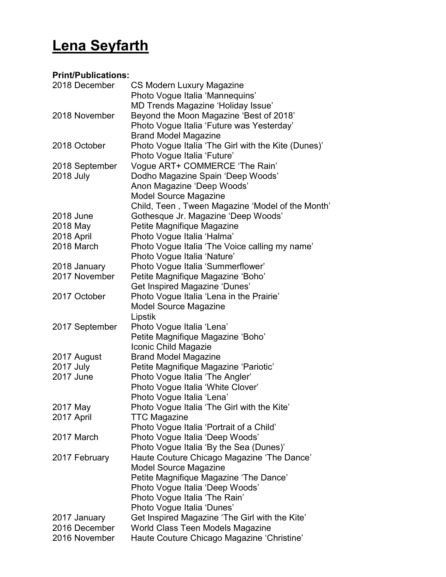## Lena Seyfarth

## Print/Publications:

| 2018 December    | <b>CS Modern Luxury Magazine</b>                    |
|------------------|-----------------------------------------------------|
|                  | Photo Vogue Italia 'Mannequins'                     |
|                  | MD Trends Magazine 'Holiday Issue'                  |
| 2018 November    | Beyond the Moon Magazine 'Best of 2018'             |
|                  | Photo Vogue Italia 'Future was Yesterday'           |
|                  | <b>Brand Model Magazine</b>                         |
| 2018 October     | Photo Vogue Italia 'The Girl with the Kite (Dunes)' |
|                  | Photo Vogue Italia 'Future'                         |
| 2018 September   | Vogue ART+ COMMERCE 'The Rain'                      |
| <b>2018 July</b> | Dodho Magazine Spain 'Deep Woods'                   |
|                  | Anon Magazine 'Deep Woods'                          |
|                  | <b>Model Source Magazine</b>                        |
|                  | Child, Teen, Tween Magazine 'Model of the Month'    |
| 2018 June        |                                                     |
|                  | Gothesque Jr. Magazine 'Deep Woods'                 |
| 2018 May         | Petite Magnifique Magazine                          |
| 2018 April       | Photo Vogue Italia 'Halma'                          |
| 2018 March       | Photo Vogue Italia 'The Voice calling my name'      |
|                  | Photo Vogue Italia 'Nature'                         |
| 2018 January     | Photo Vogue Italia 'Summerflower'                   |
| 2017 November    | Petite Magnifique Magazine 'Boho'                   |
|                  | <b>Get Inspired Magazine 'Dunes'</b>                |
| 2017 October     | Photo Vogue Italia 'Lena in the Prairie'            |
|                  | <b>Model Source Magazine</b>                        |
|                  | Lipstik                                             |
| 2017 September   | Photo Vogue Italia 'Lena'                           |
|                  | Petite Magnifique Magazine 'Boho'                   |
|                  | Iconic Child Magazie                                |
| 2017 August      | <b>Brand Model Magazine</b>                         |
| <b>2017 July</b> | Petite Magnifique Magazine 'Pariotic'               |
| 2017 June        | Photo Vogue Italia 'The Angler'                     |
|                  | Photo Vogue Italia 'White Clover'                   |
|                  | Photo Vogue Italia 'Lena'                           |
| 2017 May         | Photo Vogue Italia 'The Girl with the Kite'         |
| 2017 April       | <b>TTC Magazine</b>                                 |
|                  | Photo Vogue Italia 'Portrait of a Child'            |
| 2017 March       | Photo Vogue Italia 'Deep Woods'                     |
|                  | Photo Vogue Italia 'By the Sea (Dunes)'             |
| 2017 February    | Haute Couture Chicago Magazine 'The Dance'          |
|                  | <b>Model Source Magazine</b>                        |
|                  | Petite Magnifique Magazine 'The Dance'              |
|                  | Photo Vogue Italia 'Deep Woods'                     |
|                  | Photo Vogue Italia 'The Rain'                       |
|                  | Photo Vogue Italia 'Dunes'                          |
| 2017 January     | Get Inspired Magazine 'The Girl with the Kite'      |
| 2016 December    | World Class Teen Models Magazine                    |
|                  |                                                     |
| 2016 November    | Haute Couture Chicago Magazine 'Christine'          |